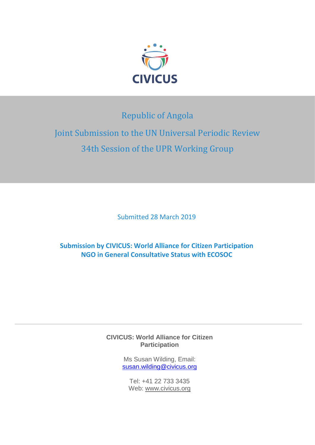

# Republic of Angola

# Joint Submission to the UN Universal Periodic Review 34th Session of the UPR Working Group

Submitted 28 March 2019

# **Submission by CIVICUS: World Alliance for Citizen Participation NGO in General Consultative Status with ECOSOC**

#### **CIVICUS: World Alliance for Citizen Participation**

Ms Susan Wilding, Email: [susan.wilding@civicus.org](mailto:susan.wilding@civicus.org)

Tel: +41 22 733 3435 Web: [www.civicus.org](http://www.civicus.org/)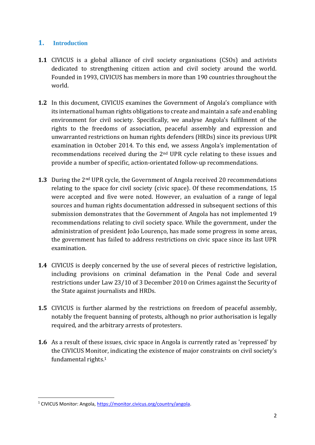## **1. Introduction**

- **1.1** CIVICUS is a global alliance of civil society organisations (CSOs) and activists dedicated to strengthening citizen action and civil society around the world. Founded in 1993, CIVICUS has members in more than 190 countries throughout the world.
- **1.2** In this document, CIVICUS examines the Government of Angola's compliance with its international human rights obligations to create and maintain a safe and enabling environment for civil society. Specifically, we analyse Angola's fulfilment of the rights to the freedoms of association, peaceful assembly and expression and unwarranted restrictions on human rights defenders (HRDs) since its previous UPR examination in October 2014. To this end, we assess Angola's implementation of recommendations received during the 2nd UPR cycle relating to these issues and provide a number of specific, action-orientated follow-up recommendations.
- **1.3** During the 2nd UPR cycle, the Government of Angola received 20 recommendations relating to the space for civil society (civic space). Of these recommendations, 15 were accepted and five were noted. However, an evaluation of a range of legal sources and human rights documentation addressed in subsequent sections of this submission demonstrates that the Government of Angola has not implemented 19 recommendations relating to civil society space. While the government, under the administration of president João Lourenço, has made some progress in some areas, the government has failed to address restrictions on civic space since its last UPR examination.
- **1.4** CIVICUS is deeply concerned by the use of several pieces of restrictive legislation, including provisions on criminal defamation in the Penal Code and several restrictions under Law 23/10 of 3 December 2010 on Crimes against the Security of the State against journalists and HRDs.
- **1.5** CIVICUS is further alarmed by the restrictions on freedom of peaceful assembly, notably the frequent banning of protests, although no prior authorisation is legally required, and the arbitrary arrests of protesters.
- **1.6** As a result of these issues, civic space in Angola is currently rated as 'repressed' by the CIVICUS Monitor, indicating the existence of major constraints on civil society's fundamental rights.<sup>1</sup>

<sup>&</sup>lt;sup>1</sup> CIVICUS Monitor: Angola[, https://monitor.civicus.org/country/angola.](https://monitor.civicus.org/country/angola)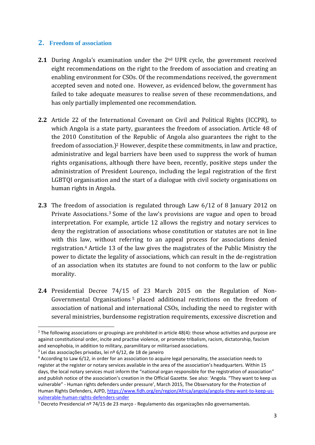#### **2. Freedom of association**

- **2.1** During Angola's examination under the 2nd UPR cycle, the government received eight recommendations on the right to the freedom of association and creating an enabling environment for CSOs. Of the recommendations received, the government accepted seven and noted one. However, as evidenced below, the government has failed to take adequate measures to realise seven of these recommendations, and has only partially implemented one recommendation.
- **2.2** Article 22 of the International Covenant on Civil and Political Rights (ICCPR), to which Angola is a state party, guarantees the freedom of association. Article 48 of the 2010 Constitution of the Republic of Angola also guarantees the right to the freedom of association.) <sup>2</sup> However, despite these commitments, in law and practice, administrative and legal barriers have been used to suppress the work of human rights organisations, although there have been, recently, positive steps under the administration of President Lourenço, including the legal registration of the first LGBTQI organisation and the start of a dialogue with civil society organisations on human rights in Angola.
- **2.3** The freedom of association is regulated through Law 6/12 of 8 January 2012 on Private Associations. <sup>3</sup> Some of the law's provisions are vague and open to broad interpretation. For example, article 12 allows the registry and notary services to deny the registration of associations whose constitution or statutes are not in line with this law, without referring to an appeal process for associations denied registration.<sup>4</sup> Article 13 of the law gives the magistrates of the Public Ministry the power to dictate the legality of associations, which can result in the de-registration of an association when its statutes are found to not conform to the law or public morality.
- **2.4** Presidential Decree 74/15 of 23 March 2015 on the Regulation of Non-Governmental Organisations<sup>5</sup> placed additional restrictions on the freedom of association of national and international CSOs, including the need to register with several ministries, burdensome registration requirements, excessive discretion and

 $2$  The following associations or groupings are prohibited in article 48(4): those whose activities and purpose are against constitutional order, incite and practise violence, or promote tribalism, racism, dictatorship, fascism and xenophobia, in addition to military, paramilitary or militarised associations.

<sup>&</sup>lt;sup>3</sup> Lei das associações privadas, lei nº 6/12, de 18 de janeiro

<sup>4</sup> According to Law 6/12, in order for an association to acquire legal personality, the association needs to register at the register or notary services available in the area of the association's headquarters. Within 15 days, the local notary services must inform the "national organ responsible for the registration of association" and publish notice of the association's creation in the Official Gazette. See also: 'Angola. "They want to keep us vulnerable" - Human rights defenders under pressure', March 2015, The Observatory for the Protection of Human Rights Defenders, AJPD, [https://www.fidh.org/en/region/Africa/angola/angola-they-want-to-keep-us](https://www.fidh.org/en/region/Africa/angola/angola-they-want-to-keep-us-vulnerable-human-rights-defenders-under)[vulnerable-human-rights-defenders-under](https://www.fidh.org/en/region/Africa/angola/angola-they-want-to-keep-us-vulnerable-human-rights-defenders-under)

<sup>5</sup> Decreto Presidencial nº 74/15 de 23 março - Regulamento das organizações não governamentais.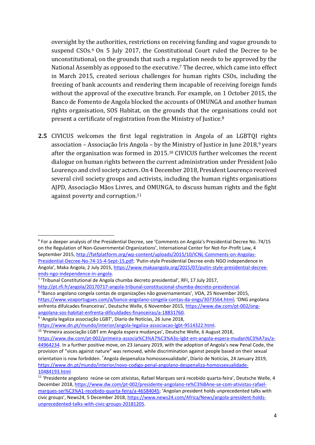oversight by the authorities, restrictions on receiving funding and vague grounds to suspend CSOs.<sup>6</sup> On 5 July 2017, the Constitutional Court ruled the Decree to be unconstitutional, on the grounds that such a regulation needs to be approved by the National Assembly as opposed to the executive.<sup>7</sup> The decree, which came into effect in March 2015, created serious challenges for human rights CSOs, including the freezing of bank accounts and rendering them incapable of receiving foreign funds without the approval of the executive branch. For example, on 1 October 2015, the Banco de Fomento de Angola blocked the accounts of OMUNGA and another human rights organisation, SOS Habitat, on the grounds that the organisations could not present a certificate of registration from the Ministry of Justice.<sup>8</sup>

**2.5** CIVICUS welcomes the first legal registration in Angola of an LGBTQI rights association – Associação Iris Angola – by the Ministry of Justice in June 2018, <sup>9</sup> years after the organisation was formed in 2015.<sup>10</sup> CIVICUS further welcomes the recent dialogue on human rights between the current administration under President João Lourenço and civil society actors. On 4 December 2018, President Lourenço received several civil society groups and activists, including the human rights organisations AJPD, Associação Mãos Livres, and OMUNGA, to discuss human rights and the fight against poverty and corruption.<sup>11</sup>

<sup>&</sup>lt;sup>6</sup> For a deeper analysis of the Presidential Decree, see 'Comments on Angola's Presidential Decree No. 74/15 on the Regulation of Non-Governmental Organizations', International Center for Not-for-Profit Law, 4 September 2015, [http://fatfplatform.org/wp-content/uploads/2015/10/ICNL-Comments-on-Angolas-](http://fatfplatform.org/wp-content/uploads/2015/10/ICNL-Comments-on-Angolas-Presidential-Decree-No-74-15-4-Sept-15.pdf)[Presidential-Decree-No-74-15-4-Sept-15.pdf](http://fatfplatform.org/wp-content/uploads/2015/10/ICNL-Comments-on-Angolas-Presidential-Decree-No-74-15-4-Sept-15.pdf); 'Putin-style Presidential Decree ends NGO independence in Angola', Maka Angola, 2 July 2015, [https://www.makaangola.org/2015/07/putin-style-presidential-decree](https://www.makaangola.org/2015/07/putin-style-presidential-decree-ends-ngo-independence-in-angola/)[ends-ngo-independence-in-angola.](https://www.makaangola.org/2015/07/putin-style-presidential-decree-ends-ngo-independence-in-angola/)

<sup>&</sup>lt;sup>7</sup> 'Tribunal Constitutional de Angola chumba decreto presidential', RFI, 17 July 2017,

[http://pt.rfi.fr/angola/20170717-angola-tribunal-constitucional-chumba-decreto-presidencial.](http://pt.rfi.fr/angola/20170717-angola-tribunal-constitucional-chumba-decreto-presidencial) 8 'Banco angolano congela contas de organizações não governamentais', VOA, 25 November 2015, <https://www.voaportugues.com/a/banco-angolano-congela-contas-da-ongs/3073564.html>; 'ONG angolana enfrenta difulcades financeiras', Deutsche Welle, 6 November 2015[, https://www.dw.com/pt-002/ong](https://www.dw.com/pt-002/ong-angolana-sos-habitat-enfrenta-dificuldades-financeiras/a-18831760)[angolana-sos-habitat-enfrenta-dificuldades-financeiras/a-18831760.](https://www.dw.com/pt-002/ong-angolana-sos-habitat-enfrenta-dificuldades-financeiras/a-18831760)

<sup>9</sup> 'Angola legaliza associação LGBT', Díarío de Notícías, 26 June 2018,

[https://www.dn.pt/mundo/interior/angola-legaliza-associacao-lgbt-9514322.html.](https://www.dn.pt/mundo/interior/angola-legaliza-associacao-lgbt-9514322.html)

<sup>&</sup>lt;sup>10</sup> 'Primeira associação LGBT em Angola espera mudanças', Deutsche Welle, 6 August 2018, [https://www.dw.com/pt-002/primeira-associa%C3%A7%C3%A3o-lgbt-em-angola-espera-mudan%C3%A7as/a-](https://www.dw.com/pt-002/primeira-associa%C3%A7%C3%A3o-lgbt-em-angola-espera-mudan%C3%A7as/a-44964234)[44964234.](https://www.dw.com/pt-002/primeira-associa%C3%A7%C3%A3o-lgbt-em-angola-espera-mudan%C3%A7as/a-44964234) In a further positive move, on 23 January 2019, with the adoption of Angola's new Penal Code, the provision of "vices against nature" was removed, while discrimination against people based on their sexual orientation is now forbidden. 'Angola despenaliza homossexualidade', Díarío de Notícías, 24 January 2019, [https://www.dn.pt/mundo/interior/novo-codigo-penal-angolano-despenaliza-homossexualidade-](https://www.dn.pt/mundo/interior/novo-codigo-penal-angolano-despenaliza-homossexualidade-10484193.html)[10484193.html](https://www.dn.pt/mundo/interior/novo-codigo-penal-angolano-despenaliza-homossexualidade-10484193.html)

<sup>11</sup> 'Presidente angolano reúne-se com ativistas, Rafael Marques será recebido quarta-feira', Deutsche Welle, 4 December 2018, [https://www.dw.com/pt-002/presidente-angolano-re%C3%BAne-se-com-ativistas-rafael](https://www.dw.com/pt-002/presidente-angolano-re%C3%BAne-se-com-ativistas-rafael-marques-ser%C3%A1-recebido-quarta-feira/a-46584045)[marques-ser%C3%A1-recebido-quarta-feira/a-46584045](https://www.dw.com/pt-002/presidente-angolano-re%C3%BAne-se-com-ativistas-rafael-marques-ser%C3%A1-recebido-quarta-feira/a-46584045); 'Angolan president holds unprecedented talks with civic groups', News24, 5 December 2018, [https://www.news24.com/Africa/News/angola-president-holds](https://www.news24.com/Africa/News/angola-president-holds-unprecedented-talks-with-civic-groups-20181205)[unprecedented-talks-with-civic-groups-20181205.](https://www.news24.com/Africa/News/angola-president-holds-unprecedented-talks-with-civic-groups-20181205)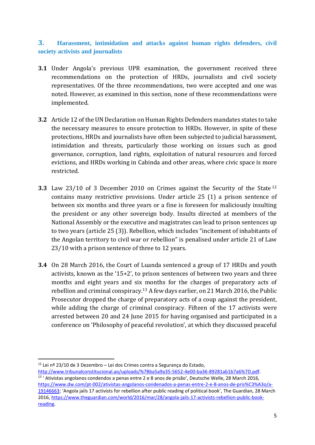#### **3. Harassment, intimidation and attacks against human rights defenders, civil society activists and journalists**

- **3.1** Under Angola's previous UPR examination, the government received three recommendations on the protection of HRDs, journalists and civil society representatives. Of the three recommendations, two were accepted and one was noted. However, as examined in this section, none of these recommendations were implemented.
- **3.2** Article 12 of the UN Declaration on Human Rights Defenders mandates states to take the necessary measures to ensure protection to HRDs. However, in spite of these protections, HRDs and journalists have often been subjected to judicial harassment, intimidation and threats, particularly those working on issues such as good governance, corruption, land rights, exploitation of natural resources and forced evictions, and HRDs working in Cabinda and other areas, where civic space is more restricted.
- **3.3** Law 23/10 of 3 December 2010 on Crimes against the Security of the State <sup>12</sup> contains many restrictive provisions. Under article 25 (1) a prison sentence of between six months and three years or a fine is foreseen for maliciously insulting the president or any other sovereign body. Insults directed at members of the National Assembly or the executive and magistrates can lead to prison sentences up to two years (article 25 (3)). Rebellion, which includes "incitement of inhabitants of the Angolan territory to civil war or rebellion" is penalised under article 21 of Law 23/10 with a prison sentence of three to 12 years.
- **3.4** On 28 March 2016, the Court of Luanda sentenced a group of 17 HRDs and youth activists, known as the '15+2', to prison sentences of between two years and three months and eight years and six months for the charges of preparatory acts of rebellion and criminal conspiracy. <sup>13</sup> A few days earlier, on 21 March 2016, the Public Prosecutor dropped the charge of preparatory acts of a coup against the president, while adding the charge of criminal conspiracy. Fifteen of the 17 activists were arrested between 20 and 24 June 2015 for having organised and participated in a conference on 'Philosophy of peaceful revolution', at which they discussed peaceful

 $12$  Lei nº 23/10 de 3 Dezembro – Lei dos Crimes contra a Segurança do Estado,

[http://www.tribunalconstitucional.ao/uploads/%7Bba5a9a35-5652-4e00-ba36-89281ab1b7a6%7D.pdf.](http://www.tribunalconstitucional.ao/uploads/%7Bba5a9a35-5652-4e00-ba36-89281ab1b7a6%7D.pdf) <sup>13</sup> ' Ativistas angolanos condendos a penas entre 2 e 8 anos de prisão', Deutsche Welle, 28 March 2016, [https://www.dw.com/pt-002/ativistas-angolanos-condenados-a-penas-entre-2-e-8-anos-de-pris%C3%A3o/a-](https://www.dw.com/pt-002/ativistas-angolanos-condenados-a-penas-entre-2-e-8-anos-de-pris%C3%A3o/a-19146663)[19146663](https://www.dw.com/pt-002/ativistas-angolanos-condenados-a-penas-entre-2-e-8-anos-de-pris%C3%A3o/a-19146663); 'Angola jails 17 activists for rebellion after public reading of political book', The Guardian, 28 March 2016, [https://www.theguardian.com/world/2016/mar/28/angola-jails-17-activists-rebellion-public-book](https://www.theguardian.com/world/2016/mar/28/angola-jails-17-activists-rebellion-public-book-reading)[reading.](https://www.theguardian.com/world/2016/mar/28/angola-jails-17-activists-rebellion-public-book-reading)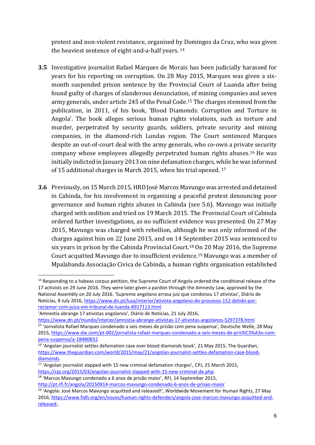protest and non-violent resistance, organised by Domingos da Cruz, who was given the heaviest sentence of eight-and-a-half years. 14

- **3.5** Investigative journalist Rafael Marques de Morais has been judicially harassed for years for his reporting on corruption. On 28 May 2015, Marques was given a sixmonth suspended prison sentence by the Provincial Court of Luanda after being found guilty of charges of slanderous denunciation, of mining companies and seven army generals, under article 245 of the Penal Code. <sup>15</sup> The charges stemmed from the publication, in 2011, of his book, 'Blood Diamonds: Corruption and Torture in Angola'. The book alleges serious human rights violations, such as torture and murder, perpetrated by security guards, soldiers, private security and mining companies, in the diamond-rich Lundas region. The Court sentenced Marques despite an out-of-court deal with the army generals, who co-own a private security company whose employees allegedly perpetrated human rights abuses. <sup>16</sup> He was initially indicted in January 2013 on nine defamation charges, while he was informed of 15 additional charges in March 2015, when his trial opened. <sup>17</sup>
- **3.6** Previously, on 15 March 2015, HRD José Marcos Mavungo was arrested and detained in Cabinda, for his involvement in organising a peaceful protest denouncing poor governance and human rights abuses in Cabinda (see 5.6). Mavungo was initially charged with sedition and tried on 19 March 2015. The Provincial Court of Cabinda ordered further investigations, as no sufficient evidence was presented. On 27 May 2015, Mavungo was charged with rebellion, although he was only informed of the charges against him on 22 June 2015, and on 14 September 2015 was sentenced to six years in prison by the Cabinda Provincial Court.<sup>18</sup> On 20 May 2016, the Supreme Court acquitted Mavungo due to insufficient evidence.<sup>19</sup> Mavungo was a member of Mpalabanda Associação Civica de Cabinda, a human rights organisation established

<https://www.dn.pt/mundo/interior/amnistia-abrange-ativistas-17-ativistas-angolanos-5297378.html>

<sup>1</sup> <sup>14</sup> Responding to a habeas corpus petition, the Supreme Court of Angola ordered the conditional release of the 17 activists on 29 June 2016. They were later given a pardon through the Amnesty Law, approved by the National Assembly on 20 July 2016. 'Supremo angolano arrasa juiz que condonou 17 ativistas', Diárío de Notícías, 8 July 2016, [https://www.dn.pt/lusa/interior/ativista-angolano-do-processo-152-detido-por](https://www.dn.pt/lusa/interior/ativista-angolano-do-processo-152-detido-por-reclamar-com-juiza-em-tribunal-de-luanda-8917113.html)[reclamar-com-juiza-em-tribunal-de-luanda-8917113.html](https://www.dn.pt/lusa/interior/ativista-angolano-do-processo-152-detido-por-reclamar-com-juiza-em-tribunal-de-luanda-8917113.html)

<sup>&#</sup>x27;Amnestia abrange 17 ativistas angolanos', Diárío de Notícías, 21 July 2016,

<sup>15</sup> 'Jornalista Rafael Marques condenado a seis meses de prisão com pena suspensa', Deutsche Welle, 28 May 2015, [https://www.dw.com/pt-002/jornalista-rafael-marques-condenado-a-seis-meses-de-pris%C3%A3o-com](https://www.dw.com/pt-002/jornalista-rafael-marques-condenado-a-seis-meses-de-pris%C3%A3o-com-pena-suspensa/a-18480832)[pena-suspensa/a-18480832.](https://www.dw.com/pt-002/jornalista-rafael-marques-condenado-a-seis-meses-de-pris%C3%A3o-com-pena-suspensa/a-18480832)

<sup>&</sup>lt;sup>16</sup> 'Angolan journalist settles defamation case over blood diamonds book', 21 May 2015, The Guardian, [https://www.theguardian.com/world/2015/may/21/angolan-journalist-settles-defamation-case-blood](https://www.theguardian.com/world/2015/may/21/angolan-journalist-settles-defamation-case-blood-diamonds)[diamonds.](https://www.theguardian.com/world/2015/may/21/angolan-journalist-settles-defamation-case-blood-diamonds)

 $17$  'Angolan journalist slapped with 15 new criminal defamation charges', CPJ, 25 March 2015, [https://cpj.org/2015/03/angolan-journalist-slapped-with-15-new-criminal-de.php.](https://cpj.org/2015/03/angolan-journalist-slapped-with-15-new-criminal-de.php)

<sup>18</sup> 'Marcos Mavungo condenado a 6 anos de prisão maior', RFI, 14 September 2015,

<http://pt.rfi.fr/angola/20150914-marcos-mavungo-condenado-6-anos-de-prisao-maior>

<sup>&</sup>lt;sup>19</sup> 'Angola: José Marcos Mavungo acquitted and released!', Worldwide Movement for Human Rights, 27 May 2016, [https://www.fidh.org/en/issues/human-rights-defenders/angola-jose-marcos-mavungo-acquitted-and](https://www.fidh.org/en/issues/human-rights-defenders/angola-jose-marcos-mavungo-acquitted-and-released%20/)[released;](https://www.fidh.org/en/issues/human-rights-defenders/angola-jose-marcos-mavungo-acquitted-and-released%20/).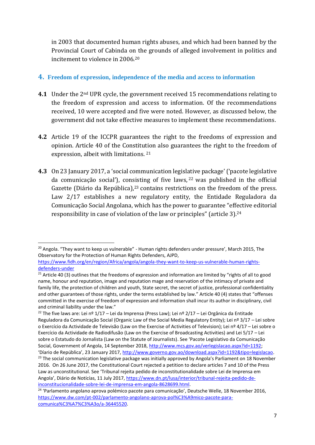in 2003 that documented human rights abuses, and which had been banned by the Provincial Court of Cabinda on the grounds of alleged involvement in politics and incitement to violence in 2006.<sup>20</sup>

#### **4. Freedom of expression, independence of the media and access to information**

- **4.1** Under the 2nd UPR cycle, the government received 15 recommendations relating to the freedom of expression and access to information. Of the recommendations received, 10 were accepted and five were noted. However, as discussed below, the government did not take effective measures to implement these recommendations.
- **4.2** Article 19 of the ICCPR guarantees the right to the freedoms of expression and opinion. Article 40 of the Constitution also guarantees the right to the freedom of expression, albeit with limitations. <sup>21</sup>
- **4.3** On 23 January 2017, a 'social communication legislative package'('pacote legislative da comunicação social'), consisting of five laws, <sup>22</sup> was published in the official Gazette (Diário da República),<sup>23</sup> contains restrictions on the freedom of the press. Law 2/17 establishes a new regulatory entity, the Entidade Reguladora da Comunicação Social Angolana, which has the power to guarantee "effective editorial responsibility in case of violation of the law or principles" (article 3).<sup>24</sup>

 $\overline{a}$ <sup>20</sup> Angola. "They want to keep us vulnerable" - Human rights defenders under pressure', March 2015, The Observatory for the Protection of Human Rights Defenders, AJPD,

[https://www.fidh.org/en/region/Africa/angola/angola-they-want-to-keep-us-vulnerable-human-rights](https://www.fidh.org/en/region/Africa/angola/angola-they-want-to-keep-us-vulnerable-human-rights-defenders-under)[defenders-under](https://www.fidh.org/en/region/Africa/angola/angola-they-want-to-keep-us-vulnerable-human-rights-defenders-under)

<sup>&</sup>lt;sup>21</sup> Article 40 (3) outlines that the freedoms of expression and information are limited by "rights of all to good name, honour and reputation, image and reputation mage and reservation of the intimacy of private and family life, the protection of children and youth, State secret, the secret of justice, professional confidentiality and other guarantees of those rights, under the terms established by law." Article 40 (4) states that "offenses committed in the exercise of freedom of expression and information shall incur its author in disciplinary, civil and criminal liability under the law."

<sup>&</sup>lt;sup>22</sup> The five laws are: Lei nº 1/17 – Lei da Imprensa (Press Law); Lei nº 2/17 – Lei Orgânica da Entitade Reguladora da Comunicação Social (Organic Law of the Social Media Regulatory Entity); Lei nº 3/17 – Lei sobre o Exercício da Actividade de Televisão (Law on the Exercise of Activities of Television); Lei nº 4/17 – Lei sobre o Exercício da Actividade de Radiodifusão (Law on the Exercise of Broadcasting Activities) and Lei 5/17 – Lei sobre o Estatudo do Jornalista (Law on the Statute of Journalists). See 'Pacote Legislativo da Comunicação Social, Government of Angola, 14 September 2018, [http://www.mcs.gov.ao/verlegislacao.aspx?id=1192;](http://www.mcs.gov.ao/verlegislacao.aspx?id=1192) 'Díario de República', 23 January 2017, [http://www.governo.gov.ao/download.aspx?id=1192&tipo=legislacao.](http://www.governo.gov.ao/download.aspx?id=1192&tipo=legislacao) <sup>23</sup> The social communication legislative package was initially approved by Angola's Parliament on 18 November 2016. On 26 June 2017, the Constitutional Court rejected a petition to declare articles 7 and 10 of the Press Law as unconstitutional. See 'Tribunal rejeita pedido de inconstitutionalidade sobre Lei de Imprensa em Angola', Diário de Notícías, 11 July 2017, [https://www.dn.pt/lusa/interior/tribunal-rejeita-pedido-de](https://www.dn.pt/lusa/interior/tribunal-rejeita-pedido-de-inconstitucionalidade-sobre-lei-de-imprensa-em-angola-8628699.html)[inconstitucionalidade-sobre-lei-de-imprensa-em-angola-8628699.html.](https://www.dn.pt/lusa/interior/tribunal-rejeita-pedido-de-inconstitucionalidade-sobre-lei-de-imprensa-em-angola-8628699.html)

<sup>24</sup> 'Parlamento angolano aprova polémico pacote para comunicação', Deutsche Welle, 18 November 2016, [https://www.dw.com/pt-002/parlamento-angolano-aprova-pol%C3%A9mico-pacote-para](https://www.dw.com/pt-002/parlamento-angolano-aprova-pol%C3%A9mico-pacote-para-comunica%C3%A7%C3%A3o/a-36445520)[comunica%C3%A7%C3%A3o/a-36445520.](https://www.dw.com/pt-002/parlamento-angolano-aprova-pol%C3%A9mico-pacote-para-comunica%C3%A7%C3%A3o/a-36445520)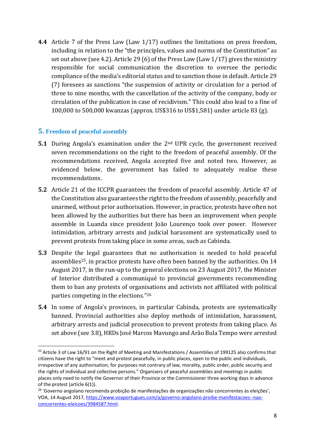**4.4** Article 7 of the Press Law (Law 1/17) outlines the limitations on press freedom, including in relation to the "the principles, values and norms of the Constitution" as set out above (see 4.2). Article 29 (6) of the Press Law (Law 1/17) gives the ministry responsible for social communication the discretion to oversee the periodic compliance of the media's editorial status and to sanction those in default. Article 29 (7) foresees as sanctions "the suspension of activity or circulation for a period of three to nine months, with the cancellation of the activity of the company, body or circulation of the publication in case of recidivism." This could also lead to a fine of 100,000 to 500,000 kwanzas (approx. US\$316 to US\$1,581) under article 83 (g).

#### **5. Freedom of peaceful assembly**

1

- **5.1** During Angola's examination under the 2<sup>nd</sup> UPR cycle, the government received seven recommendations on the right to the freedom of peaceful assembly. Of the recommendations received, Angola accepted five and noted two. However, as evidenced below, the government has failed to adequately realise these recommendations.
- **5.2** Article 21 of the ICCPR guarantees the freedom of peaceful assembly. Article 47 of the Constitution also guarantees the right to the freedom of assembly, peacefully and unarmed, without prior authorisation. However, in practice, protests have often not been allowed by the authorities but there has been an improvement when people assemble in Luanda since president João Lourenço took over power. However intimidation, arbitrary arrests and judicial harassment are systematically used to prevent protests from taking place in some areas, such as Cabinda.
- **5.3** Despite the legal guarantees that no authorisation is needed to hold peaceful assemblies25, in practice protests have often been banned by the authorities. On 14 August 2017, in the run-up to the general elections on 23 August 2017, the Minister of Interior distributed a communiqué to provincial governments recommending them to ban any protests of organisations and activists not affiliated with political parties competing in the elections." 26
- **5.4** In some of Angola's provinces, in particular Cabinda, protests are systematically banned. Provincial authorities also deploy methods of intimidation, harassment, arbitrary arrests and judicial prosecution to prevent protests from taking place. As set above (see 3.8), HRDs José Marcos Mavungo and Arão Bula Tempo were arrested

<sup>&</sup>lt;sup>25</sup> Article 3 of Law 16/91 on the Right of Meeting and Manifestations / Assemblies of 199125 also confirms that citizens have the right to "meet and protest peacefully, in public places, open to the public and individuals, irrespective of any authorisation, for purposes not contrary of law, morality, public order, public security and the rights of individual and collective persons." Organisers of peaceful assemblies and meetings in public places only need to notify the Governor of their Province or the Commissioner three working days in advance of the protest (article 6(1)).

<sup>26</sup> 'Governo angolano recomenda probição de manifestações de organizações não concorrentes às eleições', VOA, 14 August 2017, [https://www.voaportugues.com/a/governo-angolano-proibe-manifestacoes--nao](https://www.voaportugues.com/a/governo-angolano-proibe-manifestacoes--nao-concorrentes-eleicoes/3984587.html)[concorrentes-eleicoes/3984587.html.](https://www.voaportugues.com/a/governo-angolano-proibe-manifestacoes--nao-concorrentes-eleicoes/3984587.html)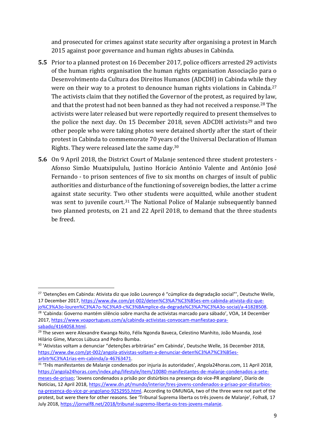and prosecuted for crimes against state security after organising a protest in March 2015 against poor governance and human rights abuses in Cabinda.

- **5.5** Prior to a planned protest on 16 December 2017, police officers arrested 29 activists of the human rights organisation the human rights organisation Associação para o Desenvolvimento da Cultura dos Direitos Humanos (ADCDH) in Cabinda while they were on their way to a protest to denounce human rights violations in Cabinda.<sup>27</sup> The activists claim that they notified the Governor of the protest, as required by law, and that the protest had not been banned as they had not received a response.<sup>28</sup> The activists were later released but were reportedly required to present themselves to the police the next day. On 15 December 2018, seven ADCDH activists<sup>29</sup> and two other people who were taking photos were detained shortly after the start of their protest in Cabinda to commemorate 70 years of the Universal Declaration of Human Rights. They were released late the same day.<sup>30</sup>
- **5.6** On 9 April 2018, the District Court of Malanje sentenced three student protesters Afonso Simão Muatxipululu, Justino Horácio António Valente and António José Fernando - to prison sentences of five to six months on charges of insult of public authorities and disturbance of the functioning of sovereign bodies, the latter a crime against state security. Two other students were acquitted, while another student was sent to juvenile court.<sup>31</sup> The National Police of Malanje subsequently banned two planned protests, on 21 and 22 April 2018, to demand that the three students be freed.

 $\overline{a}$ 

<sup>27</sup> 'Detenções em Cabinda: Ativista diz que João Lourenço é "cúmplice da degradação social"', Deutsche Welle, 17 December 2017[, https://www.dw.com/pt-002/deten%C3%A7%C3%B5es-em-cabinda-ativista-diz-que-](https://www.dw.com/pt-002/deten%C3%A7%C3%B5es-em-cabinda-ativista-diz-que-jo%C3%A3o-louren%C3%A7o-%C3%A9-c%C3%BAmplice-da-degrada%C3%A7%C3%A3o-social/a-41828508)

[jo%C3%A3o-louren%C3%A7o-%C3%A9-c%C3%BAmplice-da-degrada%C3%A7%C3%A3o-social/a-41828508.](https://www.dw.com/pt-002/deten%C3%A7%C3%B5es-em-cabinda-ativista-diz-que-jo%C3%A3o-louren%C3%A7o-%C3%A9-c%C3%BAmplice-da-degrada%C3%A7%C3%A3o-social/a-41828508) <sup>28</sup> 'Cabinda: Governo mantém silêncio sobre marcha de activistas marcado para sábado', VOA, 14 December 2017, [https://www.voaportugues.com/a/cabinda-activistas-convocam-manfiestao-para](https://www.voaportugues.com/a/cabinda-activistas-convocam-manfiestao-para-sabado/4164058.html)[sabado/4164058.html.](https://www.voaportugues.com/a/cabinda-activistas-convocam-manfiestao-para-sabado/4164058.html)

<sup>&</sup>lt;sup>29</sup> The seven were Alexandre Kwanga Nsito, Félix Ngonda Baveca, Celestino Manhito, João Muanda, José Hilário Gime, Marcos Lúbuca and Pedro Bumba.

<sup>30</sup> 'Ativistas voltam a denunciar "detenções arbitrárias" em Cabinda', Deutsche Welle, 16 December 2018, [https://www.dw.com/pt-002/angola-ativistas-voltam-a-denunciar-deten%C3%A7%C3%B5es](https://www.dw.com/pt-002/angola-ativistas-voltam-a-denunciar-deten%C3%A7%C3%B5es-arbitr%C3%A1rias-em-cabinda/a-46763471)[arbitr%C3%A1rias-em-cabinda/a-46763471.](https://www.dw.com/pt-002/angola-ativistas-voltam-a-denunciar-deten%C3%A7%C3%B5es-arbitr%C3%A1rias-em-cabinda/a-46763471)

<sup>&</sup>lt;sup>31</sup> 'Três manifestantes de Malanje condenados por injuria às autoridades', Angola24horas.com, 11 April 2018, [https://angola24horas.com/index.php/lifestyle/item/10080-manifestantes-de-malanje-condenados-a-sete](https://angola24horas.com/index.php/lifestyle/item/10080-manifestantes-de-malanje-condenados-a-sete-meses-de-prisao)[meses-de-prisao](https://angola24horas.com/index.php/lifestyle/item/10080-manifestantes-de-malanje-condenados-a-sete-meses-de-prisao); 'Jovens condenados a prisão por distúrbios na presença do vice-PR angolano', Díarío de Notícias, 12 April 2018, [https://www.dn.pt/mundo/interior/tres-jovens-condenados-a-prisao-por-disturbios](https://www.dn.pt/mundo/interior/tres-jovens-condenados-a-prisao-por-disturbios-na-presenca-do-vice-pr-angolano-9252955.html)[na-presenca-do-vice-pr-angolano-9252955.html.](https://www.dn.pt/mundo/interior/tres-jovens-condenados-a-prisao-por-disturbios-na-presenca-do-vice-pr-angolano-9252955.html) According to OMUNGA, two of the three were not part of the protest, but were there for other reasons. See 'Tribunal Suprema liberta os três jovens de Malanje', Folha8, 17 July 2018[, https://jornalf8.net/2018/tribunal-supremo-liberta-os-tres-jovens-malanje.](https://jornalf8.net/2018/tribunal-supremo-liberta-os-tres-jovens-malanje/)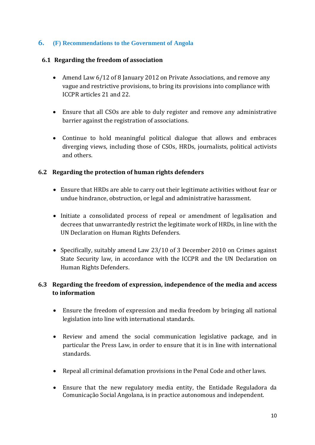#### **6. (F) Recommendations to the Government of Angola**

#### **6.1 Regarding the freedom of association**

- Amend Law 6/12 of 8 January 2012 on Private Associations, and remove any vague and restrictive provisions, to bring its provisions into compliance with ICCPR articles 21 and 22.
- Ensure that all CSOs are able to duly register and remove any administrative barrier against the registration of associations.
- Continue to hold meaningful political dialogue that allows and embraces diverging views, including those of CSOs, HRDs, journalists, political activists and others.

#### **6.2 Regarding the protection of human rights defenders**

- Ensure that HRDs are able to carry out their legitimate activities without fear or undue hindrance, obstruction, or legal and administrative harassment.
- Initiate a consolidated process of repeal or amendment of legalisation and decrees that unwarrantedly restrict the legitimate work of HRDs, in line with the UN Declaration on Human Rights Defenders.
- Specifically, suitably amend Law 23/10 of 3 December 2010 on Crimes against State Security law, in accordance with the ICCPR and the UN Declaration on Human Rights Defenders.

#### **6.3 Regarding the freedom of expression, independence of the media and access to information**

- Ensure the freedom of expression and media freedom by bringing all national legislation into line with international standards.
- Review and amend the social communication legislative package, and in particular the Press Law, in order to ensure that it is in line with international standards.
- Repeal all criminal defamation provisions in the Penal Code and other laws.
- Ensure that the new regulatory media entity, the Entidade Reguladora da Comunicação Social Angolana, is in practice autonomous and independent.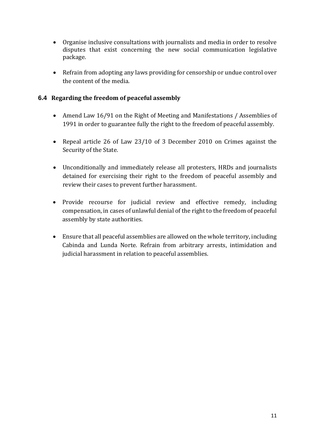- Organise inclusive consultations with journalists and media in order to resolve disputes that exist concerning the new social communication legislative package.
- Refrain from adopting any laws providing for censorship or undue control over the content of the media.

#### **6.4 Regarding the freedom of peaceful assembly**

- Amend Law 16/91 on the Right of Meeting and Manifestations / Assemblies of 1991 in order to guarantee fully the right to the freedom of peaceful assembly.
- Repeal article 26 of Law 23/10 of 3 December 2010 on Crimes against the Security of the State.
- Unconditionally and immediately release all protesters, HRDs and journalists detained for exercising their right to the freedom of peaceful assembly and review their cases to prevent further harassment.
- Provide recourse for judicial review and effective remedy, including compensation, in cases of unlawful denial of the right to the freedom of peaceful assembly by state authorities.
- Ensure that all peaceful assemblies are allowed on the whole territory, including Cabinda and Lunda Norte. Refrain from arbitrary arrests, intimidation and judicial harassment in relation to peaceful assemblies.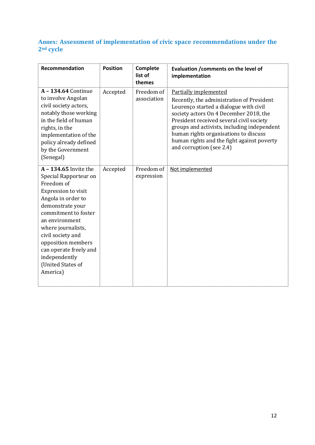## **Annex: Assessment of implementation of civic space recommendations under the 2nd cycle**

| Recommendation                                                                                                                                                                                                                                                                                                       | <b>Position</b> | Complete<br>list of<br>themes | Evaluation / comments on the level of<br>implementation                                                                                                                                                                                                                                                                                                                     |
|----------------------------------------------------------------------------------------------------------------------------------------------------------------------------------------------------------------------------------------------------------------------------------------------------------------------|-----------------|-------------------------------|-----------------------------------------------------------------------------------------------------------------------------------------------------------------------------------------------------------------------------------------------------------------------------------------------------------------------------------------------------------------------------|
| A - 134.64 Continue<br>to involve Angolan<br>civil society actors,<br>notably those working<br>in the field of human<br>rights, in the<br>implementation of the<br>policy already defined<br>by the Government<br>(Senegal)                                                                                          | Accepted        | Freedom of<br>association     | <b>Partially implemented</b><br>Recently, the administration of President<br>Lourenço started a dialogue with civil<br>society actors On 4 December 2018, the<br>President received several civil society<br>groups and activists, including independent<br>human rights organisations to discuss<br>human rights and the fight against poverty<br>and corruption (see 2.4) |
| A - 134.65 Invite the<br>Special Rapporteur on<br>Freedom of<br>Expression to visit<br>Angola in order to<br>demonstrate your<br>commitment to foster<br>an environment<br>where journalists,<br>civil society and<br>opposition members<br>can operate freely and<br>independently<br>(United States of<br>America) | Accepted        | Freedom of<br>expression      | Not implemented                                                                                                                                                                                                                                                                                                                                                             |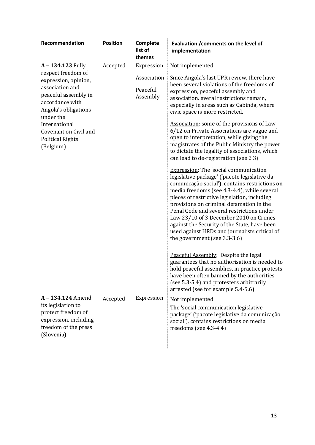| Recommendation                                                                                                                                                                                                                                       | <b>Position</b> | Complete<br>list of<br>themes                     | Evaluation / comments on the level of<br>implementation                                                                                                                                                                                                                                                                                                                                                                                                                                                                                                                                                                                                                                                                                                                                                                                                                                                                                                                                                                                                                                                                                                                                                                                                                                                                                                          |
|------------------------------------------------------------------------------------------------------------------------------------------------------------------------------------------------------------------------------------------------------|-----------------|---------------------------------------------------|------------------------------------------------------------------------------------------------------------------------------------------------------------------------------------------------------------------------------------------------------------------------------------------------------------------------------------------------------------------------------------------------------------------------------------------------------------------------------------------------------------------------------------------------------------------------------------------------------------------------------------------------------------------------------------------------------------------------------------------------------------------------------------------------------------------------------------------------------------------------------------------------------------------------------------------------------------------------------------------------------------------------------------------------------------------------------------------------------------------------------------------------------------------------------------------------------------------------------------------------------------------------------------------------------------------------------------------------------------------|
| A - 134.123 Fully<br>respect freedom of<br>expression, opinion,<br>association and<br>peaceful assembly in<br>accordance with<br>Angola's obligations<br>under the<br>International<br>Covenant on Civil and<br><b>Political Rights</b><br>(Belgium) | Accepted        | Expression<br>Association<br>Peaceful<br>Assembly | Not implemented<br>Since Angola's last UPR review, there have<br>been several violations of the freedoms of<br>expression, peaceful assembly and<br>association. everal restrictions remain,<br>especially in areas such as Cabinda, where<br>civic space is more restricted.<br>Association: some of the provisions of Law<br>6/12 on Private Associations are vague and<br>open to interpretation, while giving the<br>magistrates of the Public Ministry the power<br>to dictate the legality of associations, which<br>can lead to de-registration (see 2.3)<br><b>Expression:</b> The 'social communication<br>legislative package' ('pacote legislative da<br>comunicação social'), contains restrictions on<br>media freedoms (see 4.3-4.4), while several<br>pieces of restrictive legislation, including<br>provisions on criminal defamation in the<br>Penal Code and several restrictions under<br>Law 23/10 of 3 December 2010 on Crimes<br>against the Security of the State, have been<br>used against HRDs and journalists critical of<br>the government (see 3.3-3.6)<br>Peaceful Assembly: Despite the legal<br>guarantees that no authorisation is needed to<br>hold peaceful assemblies, in practice protests<br>have been often banned by the authorities<br>(see 5.3-5.4) and protesters arbitrarily<br>arrested (see for example 5.4-5.6). |
| A-134.124 Amend<br>its legislation to<br>protect freedom of<br>expression, including<br>freedom of the press<br>(Slovenia)                                                                                                                           | Accepted        | Expression                                        | Not implemented<br>The 'social communication legislative<br>package' ('pacote legislative da comunicação<br>social'), contains restrictions on media<br>freedoms (see $4.3-4.4$ )                                                                                                                                                                                                                                                                                                                                                                                                                                                                                                                                                                                                                                                                                                                                                                                                                                                                                                                                                                                                                                                                                                                                                                                |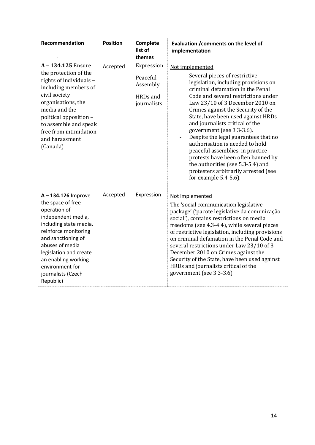| <b>Recommendation</b>                                                                                                                                                                                                                                                          | <b>Position</b> | Complete<br>list of<br>themes                                 | Evaluation / comments on the level of<br>implementation                                                                                                                                                                                                                                                                                                                                                                                                                                                                                                                                                                                      |
|--------------------------------------------------------------------------------------------------------------------------------------------------------------------------------------------------------------------------------------------------------------------------------|-----------------|---------------------------------------------------------------|----------------------------------------------------------------------------------------------------------------------------------------------------------------------------------------------------------------------------------------------------------------------------------------------------------------------------------------------------------------------------------------------------------------------------------------------------------------------------------------------------------------------------------------------------------------------------------------------------------------------------------------------|
| A - 134.125 Ensure<br>the protection of the<br>rights of individuals -<br>including members of<br>civil society<br>organisations, the<br>media and the<br>political opposition -<br>to assemble and speak<br>free from intimidation<br>and harassment<br>(Canada)              | Accepted        | Expression<br>Peaceful<br>Assembly<br>HRDs and<br>journalists | Not implemented<br>Several pieces of restrictive<br>legislation, including provisions on<br>criminal defamation in the Penal<br>Code and several restrictions under<br>Law 23/10 of 3 December 2010 on<br>Crimes against the Security of the<br>State, have been used against HRDs<br>and journalists critical of the<br>government (see 3.3-3.6).<br>Despite the legal guarantees that no<br>$\overline{\phantom{a}}$<br>authorisation is needed to hold<br>peaceful assemblies, in practice<br>protests have been often banned by<br>the authorities (see 5.3-5.4) and<br>protesters arbitrarily arrested (see<br>for example $5.4-5.6$ ). |
| A-134.126 Improve<br>the space of free<br>operation of<br>independent media,<br>including state media,<br>reinforce monitoring<br>and sanctioning of<br>abuses of media<br>legislation and create<br>an enabling working<br>environment for<br>journalists (Czech<br>Republic) | Accepted        | Expression                                                    | Not implemented<br>The 'social communication legislative<br>package' ('pacote legislative da comunicação<br>social'), contains restrictions on media<br>freedoms (see 4.3-4.4), while several pieces<br>of restrictive legislation, including provisions<br>on criminal defamation in the Penal Code and<br>several restrictions under Law 23/10 of 3<br>December 2010 on Crimes against the<br>Security of the State, have been used against<br>HRDs and journalists critical of the<br>government (see 3.3-3.6)                                                                                                                            |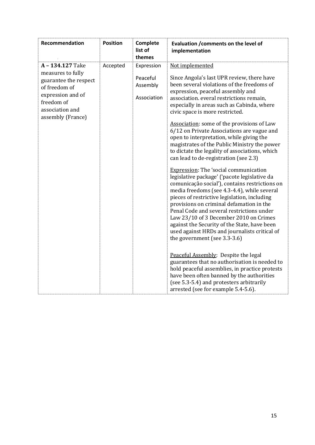| Recommendation                                                                                                                                           | <b>Position</b> | Complete<br>list of<br>themes                     | Evaluation / comments on the level of<br>implementation                                                                                                                                                                                                                                                                                                                                                                                                                                                                                                                                                                                                                                                                                                                                                                                                                                                                                                                                                                                                                               |
|----------------------------------------------------------------------------------------------------------------------------------------------------------|-----------------|---------------------------------------------------|---------------------------------------------------------------------------------------------------------------------------------------------------------------------------------------------------------------------------------------------------------------------------------------------------------------------------------------------------------------------------------------------------------------------------------------------------------------------------------------------------------------------------------------------------------------------------------------------------------------------------------------------------------------------------------------------------------------------------------------------------------------------------------------------------------------------------------------------------------------------------------------------------------------------------------------------------------------------------------------------------------------------------------------------------------------------------------------|
| A-134.127 Take<br>measures to fully<br>guarantee the respect<br>of freedom of<br>expression and of<br>freedom of<br>association and<br>assembly (France) | Accepted        | Expression<br>Peaceful<br>Assembly<br>Association | Not implemented<br>Since Angola's last UPR review, there have<br>been several violations of the freedoms of<br>expression, peaceful assembly and<br>association. everal restrictions remain,<br>especially in areas such as Cabinda, where<br>civic space is more restricted.<br>Association: some of the provisions of Law<br>6/12 on Private Associations are vague and<br>open to interpretation, while giving the<br>magistrates of the Public Ministry the power<br>to dictate the legality of associations, which<br>can lead to de-registration (see 2.3)<br><b>Expression:</b> The 'social communication<br>legislative package' ('pacote legislative da<br>comunicação social'), contains restrictions on<br>media freedoms (see 4.3-4.4), while several<br>pieces of restrictive legislation, including<br>provisions on criminal defamation in the<br>Penal Code and several restrictions under<br>Law 23/10 of 3 December 2010 on Crimes<br>against the Security of the State, have been<br>used against HRDs and journalists critical of<br>the government (see 3.3-3.6) |
|                                                                                                                                                          |                 |                                                   | Peaceful Assembly: Despite the legal<br>guarantees that no authorisation is needed to<br>hold peaceful assemblies, in practice protests<br>have been often banned by the authorities<br>(see 5.3-5.4) and protesters arbitrarily<br>arrested (see for example 5.4-5.6).                                                                                                                                                                                                                                                                                                                                                                                                                                                                                                                                                                                                                                                                                                                                                                                                               |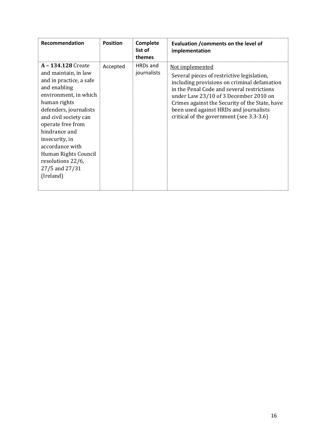| Recommendation                                                                                                                                                                                                                                                                                                                           | <b>Position</b> | Complete<br>list of<br>themes | Evaluation / comments on the level of<br>implementation                                                                                                                                                                                                                                                                                     |
|------------------------------------------------------------------------------------------------------------------------------------------------------------------------------------------------------------------------------------------------------------------------------------------------------------------------------------------|-----------------|-------------------------------|---------------------------------------------------------------------------------------------------------------------------------------------------------------------------------------------------------------------------------------------------------------------------------------------------------------------------------------------|
| A - 134.128 Create<br>and maintain, in law<br>and in practice, a safe<br>and enabling<br>environment, in which<br>human rights<br>defenders, journalists<br>and civil society can<br>operate free from<br>hindrance and<br>insecurity, in<br>accordance with<br>Human Rights Council<br>resolutions 22/6,<br>27/5 and 27/31<br>(Ireland) | Accepted        | HRDs and<br>journalists       | Not implemented<br>Several pieces of restrictive legislation,<br>including provisions on criminal defamation<br>in the Penal Code and several restrictions<br>under Law 23/10 of 3 December 2010 on<br>Crimes against the Security of the State, have<br>been used against HRDs and journalists<br>critical of the government (see 3.3-3.6) |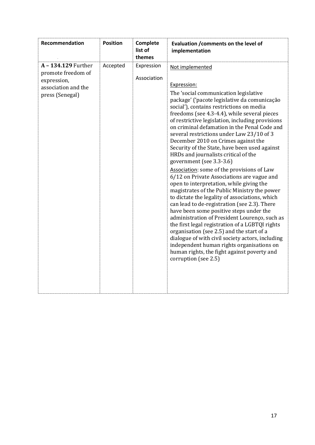| Recommendation                                                                                   | <b>Position</b> | Complete<br>list of<br>themes | Evaluation / comments on the level of<br>implementation                                                                                                                                                                                                                                                                                                                                                                                                                                                                                                                                                                                                                                                                                                                                                                                                                                                                                                                                                                                                                                                                                                                                        |
|--------------------------------------------------------------------------------------------------|-----------------|-------------------------------|------------------------------------------------------------------------------------------------------------------------------------------------------------------------------------------------------------------------------------------------------------------------------------------------------------------------------------------------------------------------------------------------------------------------------------------------------------------------------------------------------------------------------------------------------------------------------------------------------------------------------------------------------------------------------------------------------------------------------------------------------------------------------------------------------------------------------------------------------------------------------------------------------------------------------------------------------------------------------------------------------------------------------------------------------------------------------------------------------------------------------------------------------------------------------------------------|
| A-134.129 Further<br>promote freedom of<br>expression,<br>association and the<br>press (Senegal) | Accepted        | Expression<br>Association     | Not implemented<br>Expression:<br>The 'social communication legislative<br>package' ('pacote legislative da comunicação<br>social'), contains restrictions on media<br>freedoms (see 4.3-4.4), while several pieces<br>of restrictive legislation, including provisions<br>on criminal defamation in the Penal Code and<br>several restrictions under Law 23/10 of 3<br>December 2010 on Crimes against the<br>Security of the State, have been used against<br>HRDs and journalists critical of the<br>government (see 3.3-3.6)<br>Association: some of the provisions of Law<br>6/12 on Private Associations are vague and<br>open to interpretation, while giving the<br>magistrates of the Public Ministry the power<br>to dictate the legality of associations, which<br>can lead to de-registration (see 2.3). There<br>have been some positive steps under the<br>administration of President Lourenço, such as<br>the first legal registration of a LGBTQI rights<br>organisation (see 2.5) and the start of a<br>dialogue of with civil society actors, including<br>independent human rights organisations on<br>human rights, the fight against poverty and<br>corruption (see 2.5) |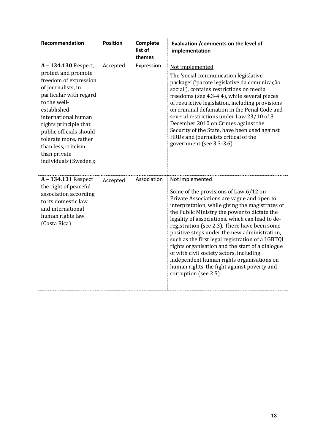| <b>Recommendation</b>                                                                                                                                                                                                                                                                                                 | <b>Position</b> | Complete<br>list of<br>themes | Evaluation / comments on the level of<br>implementation                                                                                                                                                                                                                                                                                                                                                                                                                                                                                                                                                                            |
|-----------------------------------------------------------------------------------------------------------------------------------------------------------------------------------------------------------------------------------------------------------------------------------------------------------------------|-----------------|-------------------------------|------------------------------------------------------------------------------------------------------------------------------------------------------------------------------------------------------------------------------------------------------------------------------------------------------------------------------------------------------------------------------------------------------------------------------------------------------------------------------------------------------------------------------------------------------------------------------------------------------------------------------------|
| A-134.130 Respect,<br>protect and promote<br>freedom of expression<br>of journalists, in<br>particular with regard<br>to the well-<br>established<br>international human<br>rights principle that<br>public officials should<br>tolerate more, rather<br>than less, critcism<br>than private<br>individuals (Sweden); | Accepted        | Expression                    | Not implemented<br>The 'social communication legislative<br>package' ('pacote legislative da comunicação<br>social'), contains restrictions on media<br>freedoms (see 4.3-4.4), while several pieces<br>of restrictive legislation, including provisions<br>on criminal defamation in the Penal Code and<br>several restrictions under Law 23/10 of 3<br>December 2010 on Crimes against the<br>Security of the State, have been used against<br>HRDs and journalists critical of the<br>government (see 3.3-3.6)                                                                                                                  |
| A - 134.131 Respect<br>the right of peaceful<br>association according<br>to its domestic law<br>and international<br>human rights law<br>(Costa Rica)                                                                                                                                                                 | Accepted        | Association                   | Not implemented<br>Some of the provisions of Law 6/12 on<br>Private Associations are vague and open to<br>interpretation, while giving the magistrates of<br>the Public Ministry the power to dictate the<br>legality of associations, which can lead to de-<br>registration (see 2.3). There have been some<br>positive steps under the new administration,<br>such as the first legal registration of a LGBTQI<br>rights organisation and the start of a dialogue<br>of with civil society actors, including<br>independent human rights organisations on<br>human rights, the fight against poverty and<br>corruption (see 2.5) |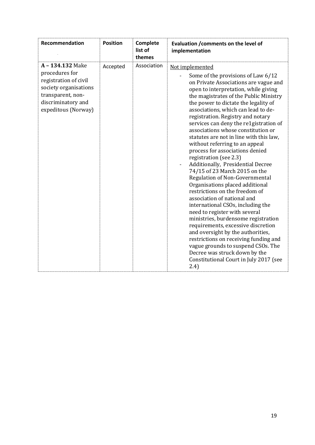| Recommendation                                                                                                                                       | <b>Position</b> | Complete<br>list of<br>themes | Evaluation / comments on the level of<br>implementation                                                                                                                                                                                                                                                                                                                                                                                                                                                                                                                                                                                                                                                                                                                                                                                                                                                                                                                                                                                                                                               |
|------------------------------------------------------------------------------------------------------------------------------------------------------|-----------------|-------------------------------|-------------------------------------------------------------------------------------------------------------------------------------------------------------------------------------------------------------------------------------------------------------------------------------------------------------------------------------------------------------------------------------------------------------------------------------------------------------------------------------------------------------------------------------------------------------------------------------------------------------------------------------------------------------------------------------------------------------------------------------------------------------------------------------------------------------------------------------------------------------------------------------------------------------------------------------------------------------------------------------------------------------------------------------------------------------------------------------------------------|
| A-134.132 Make<br>procedures for<br>registration of civil<br>society organisations<br>transparent, non-<br>discriminatory and<br>expeditous (Norway) | Accepted        | Association                   | Not implemented<br>Some of the provisions of Law 6/12<br>on Private Associations are vague and<br>open to interpretation, while giving<br>the magistrates of the Public Ministry<br>the power to dictate the legality of<br>associations, which can lead to de-<br>registration. Registry and notary<br>services can deny the re1gistration of<br>associations whose constitution or<br>statutes are not in line with this law,<br>without referring to an appeal<br>process for associations denied<br>registration (see 2.3)<br>Additionally, Presidential Decree<br>74/15 of 23 March 2015 on the<br>Regulation of Non-Governmental<br>Organisations placed additional<br>restrictions on the freedom of<br>association of national and<br>international CSOs, including the<br>need to register with several<br>ministries, burdensome registration<br>requirements, excessive discretion<br>and oversight by the authorities,<br>restrictions on receiving funding and<br>vague grounds to suspend CSOs. The<br>Decree was struck down by the<br>Constitutional Court in July 2017 (see<br>(2.4) |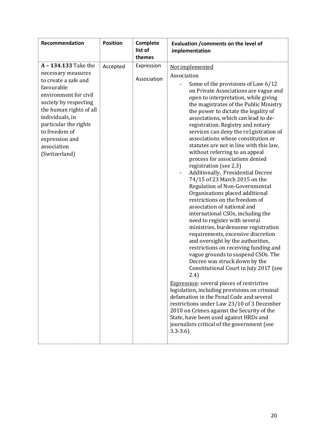| Recommendation                                                                                                                                                                                                                                                               | <b>Position</b> | Complete<br>list of<br>themes | Evaluation / comments on the level of<br>implementation                                                                                                                                                                                                                                                                                                                                                                                                                                                                                                                                                                                                                                                                                                                                                                                                                                                                                                                                                                                                                                                                                                                                                                                                                                                                                                                                                                                                                  |
|------------------------------------------------------------------------------------------------------------------------------------------------------------------------------------------------------------------------------------------------------------------------------|-----------------|-------------------------------|--------------------------------------------------------------------------------------------------------------------------------------------------------------------------------------------------------------------------------------------------------------------------------------------------------------------------------------------------------------------------------------------------------------------------------------------------------------------------------------------------------------------------------------------------------------------------------------------------------------------------------------------------------------------------------------------------------------------------------------------------------------------------------------------------------------------------------------------------------------------------------------------------------------------------------------------------------------------------------------------------------------------------------------------------------------------------------------------------------------------------------------------------------------------------------------------------------------------------------------------------------------------------------------------------------------------------------------------------------------------------------------------------------------------------------------------------------------------------|
| A - 134.133 Take the<br>necessary measures<br>to create a safe and<br>favourable<br>environment for civil<br>society by respecting<br>the human rights of all<br>individuals, in<br>particular the rights<br>to freedom of<br>expression and<br>association<br>(Switzerland) | Accepted        | Expression<br>Association     | Not implemented<br>Association<br>Some of the provisions of Law 6/12<br>on Private Associations are vague and<br>open to interpretation, while giving<br>the magistrates of the Public Ministry<br>the power to dictate the legality of<br>associations, which can lead to de-<br>registration. Registry and notary<br>services can deny the re1gistration of<br>associations whose constitution or<br>statutes are not in line with this law,<br>without referring to an appeal<br>process for associations denied<br>registration (see 2.3)<br>Additionally, Presidential Decree<br>74/15 of 23 March 2015 on the<br>Regulation of Non-Governmental<br>Organisations placed additional<br>restrictions on the freedom of<br>association of national and<br>international CSOs, including the<br>need to register with several<br>ministries, burdensome registration<br>requirements, excessive discretion<br>and oversight by the authorities,<br>restrictions on receiving funding and<br>vague grounds to suspend CSOs. The<br>Decree was struck down by the<br>Constitutional Court in July 2017 (see<br>2.4)<br><b>Expression:</b> several pieces of restrictive<br>legislation, including provisions on criminal<br>defamation in the Penal Code and several<br>restrictions under Law 23/10 of 3 December<br>2010 on Crimes against the Security of the<br>State, have been used against HRDs and<br>journalists critical of the government (see<br>$3.3 - 3.6$ |

ł